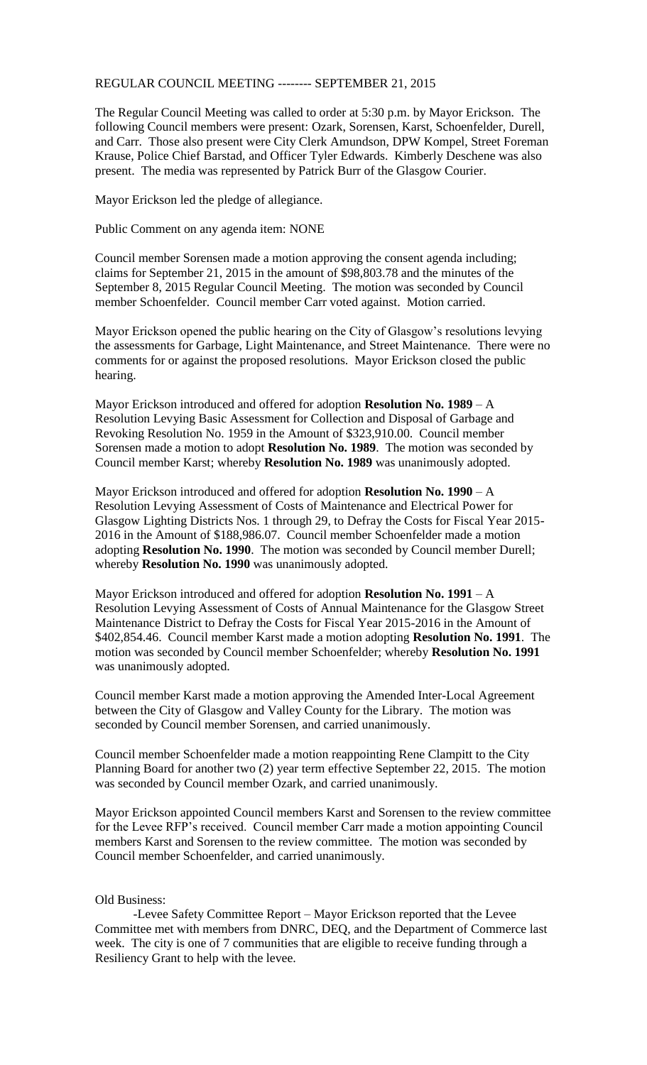## REGULAR COUNCIL MEETING -------- SEPTEMBER 21, 2015

The Regular Council Meeting was called to order at 5:30 p.m. by Mayor Erickson. The following Council members were present: Ozark, Sorensen, Karst, Schoenfelder, Durell, and Carr. Those also present were City Clerk Amundson, DPW Kompel, Street Foreman Krause, Police Chief Barstad, and Officer Tyler Edwards. Kimberly Deschene was also present. The media was represented by Patrick Burr of the Glasgow Courier.

Mayor Erickson led the pledge of allegiance.

Public Comment on any agenda item: NONE

Council member Sorensen made a motion approving the consent agenda including; claims for September 21, 2015 in the amount of \$98,803.78 and the minutes of the September 8, 2015 Regular Council Meeting. The motion was seconded by Council member Schoenfelder. Council member Carr voted against. Motion carried.

Mayor Erickson opened the public hearing on the City of Glasgow's resolutions levying the assessments for Garbage, Light Maintenance, and Street Maintenance. There were no comments for or against the proposed resolutions. Mayor Erickson closed the public hearing.

Mayor Erickson introduced and offered for adoption **Resolution No. 1989** – A Resolution Levying Basic Assessment for Collection and Disposal of Garbage and Revoking Resolution No. 1959 in the Amount of \$323,910.00. Council member Sorensen made a motion to adopt **Resolution No. 1989**. The motion was seconded by Council member Karst; whereby **Resolution No. 1989** was unanimously adopted.

Mayor Erickson introduced and offered for adoption **Resolution No. 1990** – A Resolution Levying Assessment of Costs of Maintenance and Electrical Power for Glasgow Lighting Districts Nos. 1 through 29, to Defray the Costs for Fiscal Year 2015- 2016 in the Amount of \$188,986.07. Council member Schoenfelder made a motion adopting **Resolution No. 1990**. The motion was seconded by Council member Durell; whereby **Resolution No. 1990** was unanimously adopted.

Mayor Erickson introduced and offered for adoption **Resolution No. 1991** – A Resolution Levying Assessment of Costs of Annual Maintenance for the Glasgow Street Maintenance District to Defray the Costs for Fiscal Year 2015-2016 in the Amount of \$402,854.46. Council member Karst made a motion adopting **Resolution No. 1991**. The motion was seconded by Council member Schoenfelder; whereby **Resolution No. 1991** was unanimously adopted.

Council member Karst made a motion approving the Amended Inter-Local Agreement between the City of Glasgow and Valley County for the Library. The motion was seconded by Council member Sorensen, and carried unanimously.

Council member Schoenfelder made a motion reappointing Rene Clampitt to the City Planning Board for another two (2) year term effective September 22, 2015. The motion was seconded by Council member Ozark, and carried unanimously.

Mayor Erickson appointed Council members Karst and Sorensen to the review committee for the Levee RFP's received. Council member Carr made a motion appointing Council members Karst and Sorensen to the review committee. The motion was seconded by Council member Schoenfelder, and carried unanimously.

## Old Business:

-Levee Safety Committee Report – Mayor Erickson reported that the Levee Committee met with members from DNRC, DEQ, and the Department of Commerce last week. The city is one of 7 communities that are eligible to receive funding through a Resiliency Grant to help with the levee.